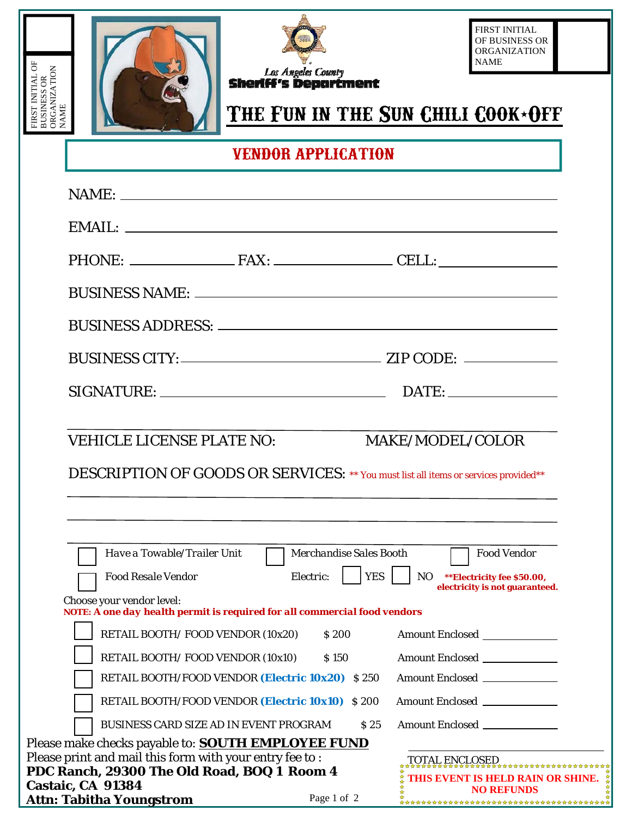





FIRST INITIAL OF BUSINESS OR ORGANIZATION NAME

# THE FUN IN THE SUN CHILI COOK<sup>+</sup>OFF

**VENDOR APPLICATION**

|                   | <b>VEHICLE LICENSE PLATE NO:</b>                                                                              |                                      |            | MAKE/MODEL/COLOR                                                         |  |
|-------------------|---------------------------------------------------------------------------------------------------------------|--------------------------------------|------------|--------------------------------------------------------------------------|--|
|                   | DESCRIPTION OF GOODS OR SERVICES: ** You must list all items or services provided**                           |                                      |            |                                                                          |  |
|                   | Have a Towable/Trailer Unit<br><b>Food Resale Vendor</b>                                                      | Merchandise Sales Booth<br>Electric: | <b>YES</b> | <b>Food Vendor</b><br>NO ** Electricity fee \$50.00,                     |  |
|                   | Choose your vendor level:                                                                                     |                                      |            | electricity is not guaranteed.                                           |  |
|                   | NOTE: A one day health permit is required for all commercial food vendors<br>RETAIL BOOTH/FOOD VENDOR (10x20) | \$200                                |            | <b>Amount Enclosed</b>                                                   |  |
|                   | RETAIL BOOTH/FOOD VENDOR (10x10)                                                                              | <i>S</i> 150                         |            |                                                                          |  |
|                   | RETAIL BOOTH/FOOD VENDOR (Electric 10x20) \$250                                                               |                                      |            |                                                                          |  |
|                   |                                                                                                               |                                      |            | Amount Enclosed _____________                                            |  |
|                   | RETAIL BOOTH/FOOD VENDOR (Electric 10x10) \$200                                                               |                                      |            | Amount Enclosed ____________                                             |  |
|                   | <b>BUSINESS CARD SIZE AD IN EVENT PROGRAM</b>                                                                 |                                      | \$25       | Amount Enclosed                                                          |  |
|                   | Please make checks payable to: <b>SOUTH EMPLOYEE FUND</b>                                                     |                                      |            |                                                                          |  |
|                   | Please print and mail this form with your entry fee to :                                                      |                                      |            |                                                                          |  |
| Castaic, CA 91384 | PDC Ranch, 29300 The Old Road, BOQ 1 Room 4                                                                   |                                      |            | TOTAL ENCLOSED<br>THIS EVENT IS HELD RAIN OR SHINE.<br><b>NO REFUNDS</b> |  |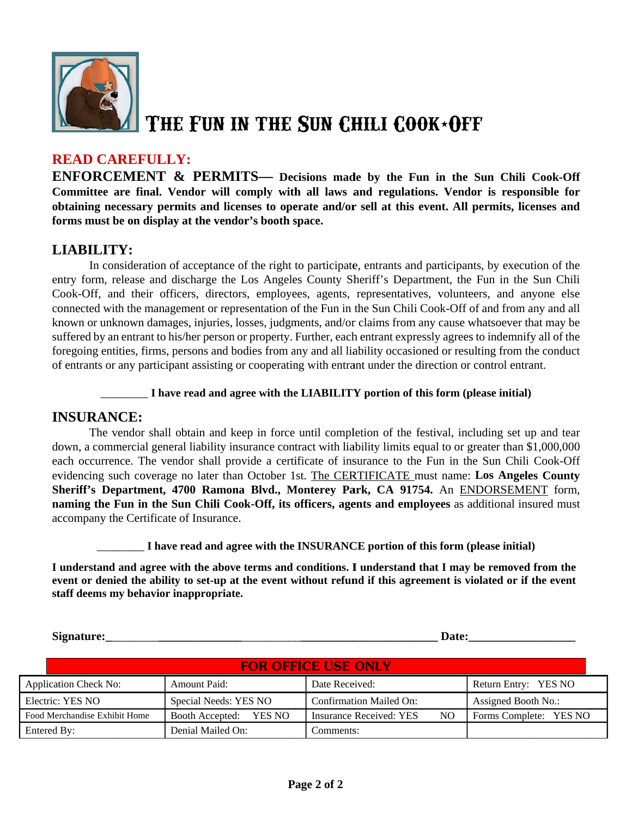

# THE FUN IN THE SUN CHILI COOK\*OFF

### **READ CAREFULLY:**

**ENFORCEMENT & PERMITS—** Decisions made by the Fun in the Sun Chili Cook-Off Committee are final. Vendor will comply with all laws and regulations. Vendor is responsible for obtaining necessary permits and licenses to operate and/or sell at this event. All permits, licenses and forms must be on display at the vendor's booth space.

### **LIABILITY:**

In consideration of acceptance of the right to participate, entrants and participants, by execution of the entry form, release and discharge the Los Angeles County Sheriff's Department, the Fun in the Sun Chili Cook-Off, and their officers, directors, employees, agents, representatives, volunteers, and anyone else connected with the management or representation of the Fun in the Sun Chili Cook-Off of and from any and all known or unknown damages, injuries, losses, judgments, and/or claims from any cause whatsoever that may be suffered by an entrant to his/her person or property. Further, each entrant expressly agrees to indemnify all of the foregoing entities, firms, persons and bodies from any and all liability occasioned or resulting from the conduct of entrants or any participant assisting or cooperating with entrant under the direction or control entrant.

#### I have read and agree with the LIABILITY portion of this form (please initial)

### **INSURANCE:**

The vendor shall obtain and keep in force until completion of the festival, including set up and tear down, a commercial general liability insurance contract with liability limits equal to or greater than \$1,000,000 each occurrence. The vendor shall provide a certificate of insurance to the Fun in the Sun Chili Cook-Off evidencing such coverage no later than October 1st. The CERTIFICATE must name: Los Angeles County Sheriff's Department, 4700 Ramona Blvd., Monterey Park, CA 91754. An ENDORSEMENT form, naming the Fun in the Sun Chili Cook-Off, its officers, agents and employees as additional insured must accompany the Certificate of Insurance.

I have read and agree with the INSURANCE portion of this form (please initial)

I understand and agree with the above terms and conditions. I understand that I may be removed from the event or denied the ability to set-up at the event without refund if this agreement is violated or if the event staff deems my behavior inappropriate.

Signature:

Date:

| <b>FOR OFFICE USE ONLY</b>    |                        |                                            |                            |  |  |  |  |
|-------------------------------|------------------------|--------------------------------------------|----------------------------|--|--|--|--|
| <b>Application Check No:</b>  | <b>Amount Paid:</b>    | Date Received:                             | Return Entry: YES NO       |  |  |  |  |
| Electric: YES NO              | Special Needs: YES NO  | <b>Confirmation Mailed On:</b>             | <b>Assigned Booth No.:</b> |  |  |  |  |
| Food Merchandise Exhibit Home | Booth Accepted: YES NO | Insurance Received: YES<br>NO <sub>1</sub> | Forms Complete: YES NO     |  |  |  |  |
| Entered By:                   | Denial Mailed On:      | Comments:                                  |                            |  |  |  |  |